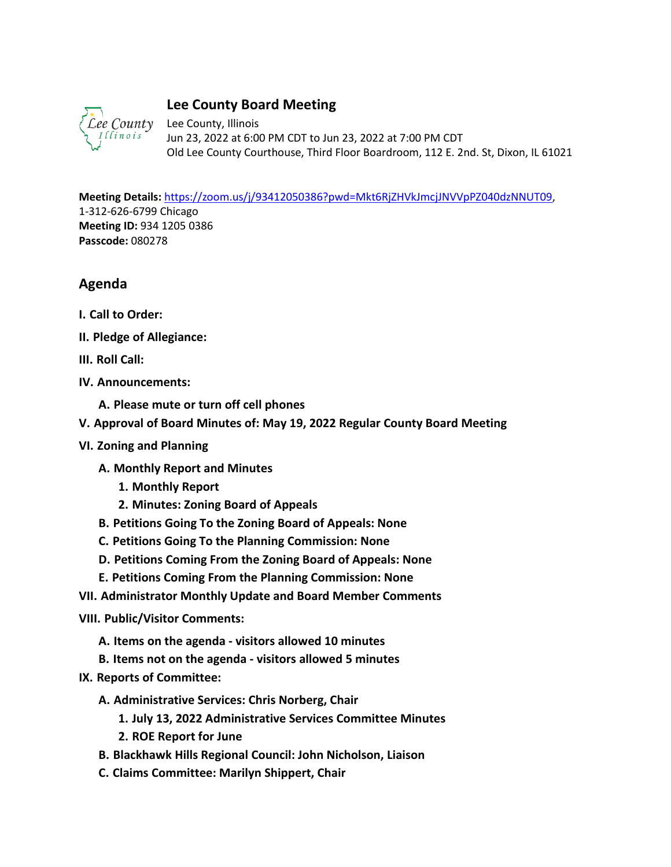

## **Lee County Board Meeting**

Lee County, Illinois Jun 23, 2022 at 6:00 PM CDT to Jun 23, 2022 at 7:00 PM CDT Old Lee County Courthouse, Third Floor Boardroom, 112 E. 2nd. St, Dixon, IL 61021

**Meeting Details:** [https://zoom.us/j/93412050386?pwd=Mkt6RjZHVkJmcjJNVVpPZ040dzNNUT09,](https://zoom.us/j/93412050386?pwd=Mkt6RjZHVkJmcjJNVVpPZ040dzNNUT09) 1-312-626-6799 Chicago **Meeting ID:** 934 1205 0386 **Passcode:** 080278

## **Agenda**

- **I. Call to Order:**
- **II. Pledge of Allegiance:**
- **III. Roll Call:**
- **IV. Announcements:**
	- **A. Please mute or turn off cell phones**
- **V. Approval of Board Minutes of: May 19, 2022 Regular County Board Meeting**
- **VI. Zoning and Planning** 
	- **A. Monthly Report and Minutes**
		- **1. Monthly Report**
		- **2. Minutes: Zoning Board of Appeals**
	- **B. Petitions Going To the Zoning Board of Appeals: None**
	- **C. Petitions Going To the Planning Commission: None**
	- **D. Petitions Coming From the Zoning Board of Appeals: None**
	- **E. Petitions Coming From the Planning Commission: None**
- **VII. Administrator Monthly Update and Board Member Comments**

**VIII. Public/Visitor Comments:**

- **A. Items on the agenda visitors allowed 10 minutes**
- **B. Items not on the agenda visitors allowed 5 minutes**
- **IX. Reports of Committee:**
	- **A. Administrative Services: Chris Norberg, Chair**
		- **1. July 13, 2022 Administrative Services Committee Minutes**
		- **2. ROE Report for June**
	- **B. Blackhawk Hills Regional Council: John Nicholson, Liaison**
	- **C. Claims Committee: Marilyn Shippert, Chair**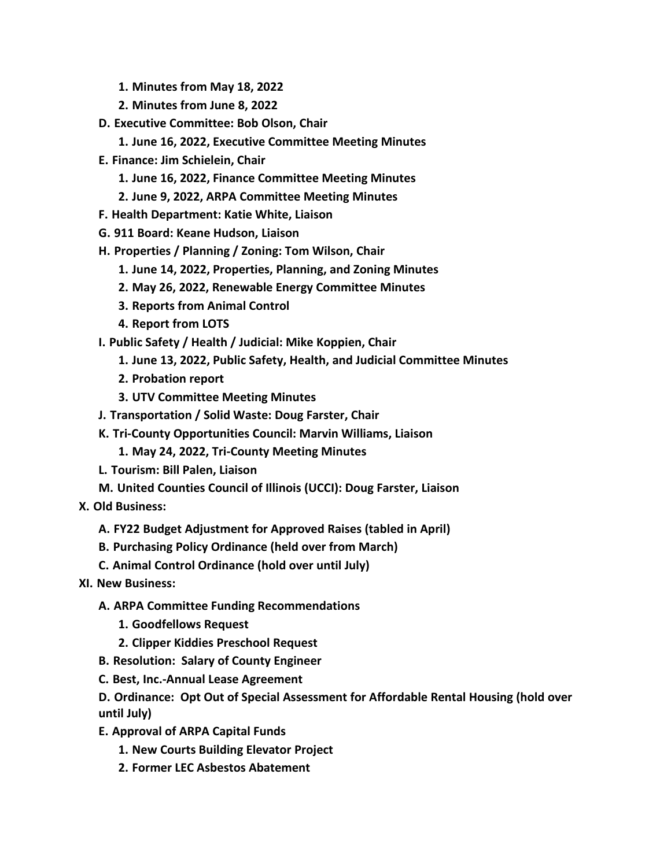- **1. Minutes from May 18, 2022**
- **2. Minutes from June 8, 2022**
- **D. Executive Committee: Bob Olson, Chair**
	- **1. June 16, 2022, Executive Committee Meeting Minutes**
- **E. Finance: Jim Schielein, Chair**
	- **1. June 16, 2022, Finance Committee Meeting Minutes**
	- **2. June 9, 2022, ARPA Committee Meeting Minutes**
- **F. Health Department: Katie White, Liaison**
- **G. 911 Board: Keane Hudson, Liaison**
- **H. Properties / Planning / Zoning: Tom Wilson, Chair**
	- **1. June 14, 2022, Properties, Planning, and Zoning Minutes**
	- **2. May 26, 2022, Renewable Energy Committee Minutes**
	- **3. Reports from Animal Control**
	- **4. Report from LOTS**
- **I. Public Safety / Health / Judicial: Mike Koppien, Chair**
	- **1. June 13, 2022, Public Safety, Health, and Judicial Committee Minutes**
	- **2. Probation report**
	- **3. UTV Committee Meeting Minutes**
- **J. Transportation / Solid Waste: Doug Farster, Chair**
- **K. Tri-County Opportunities Council: Marvin Williams, Liaison**
	- **1. May 24, 2022, Tri-County Meeting Minutes**
- **L. Tourism: Bill Palen, Liaison**
- **M. United Counties Council of Illinois (UCCI): Doug Farster, Liaison**
- **X. Old Business:**
	- **A. FY22 Budget Adjustment for Approved Raises (tabled in April)**
	- **B. Purchasing Policy Ordinance (held over from March)**
	- **C. Animal Control Ordinance (hold over until July)**
- **XI. New Business:**
	- **A. ARPA Committee Funding Recommendations**
		- **1. Goodfellows Request**
		- **2. Clipper Kiddies Preschool Request**
	- **B. Resolution: Salary of County Engineer**
	- **C. Best, Inc.-Annual Lease Agreement**

**D. Ordinance: Opt Out of Special Assessment for Affordable Rental Housing (hold over until July)**

- **E. Approval of ARPA Capital Funds** 
	- **1. New Courts Building Elevator Project**
	- **2. Former LEC Asbestos Abatement**